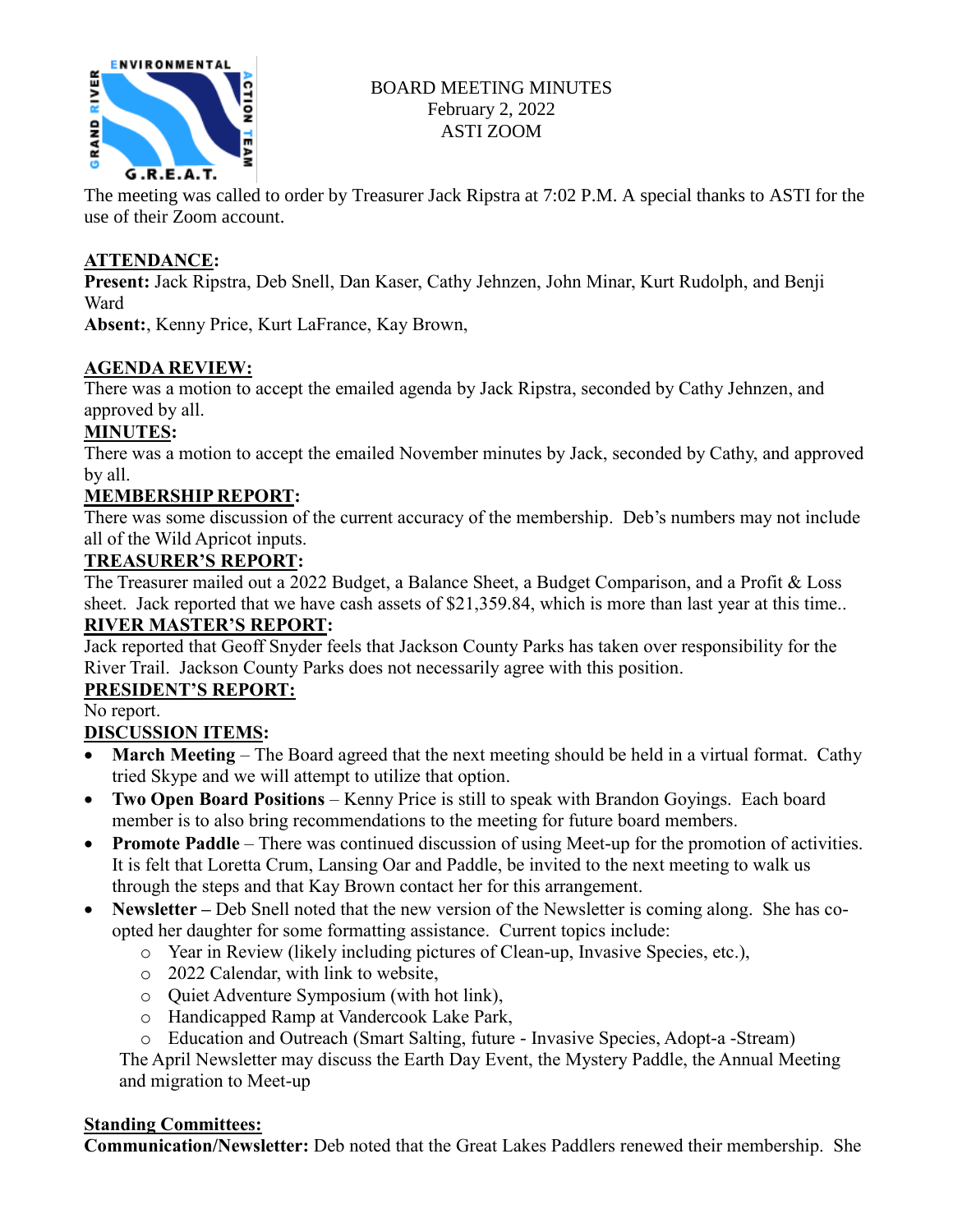

# BOARD MEETING MINUTES February 2, 2022 ASTI ZOOM

The meeting was called to order by Treasurer Jack Ripstra at 7:02 P.M. A special thanks to ASTI for the use of their Zoom account.

### **ATTENDANCE:**

**Present:** Jack Ripstra, Deb Snell, Dan Kaser, Cathy Jehnzen, John Minar, Kurt Rudolph, and Benji Ward

**Absent:**, Kenny Price, Kurt LaFrance, Kay Brown,

### **AGENDA REVIEW:**

There was a motion to accept the emailed agenda by Jack Ripstra, seconded by Cathy Jehnzen, and approved by all.

# **MINUTES:**

There was a motion to accept the emailed November minutes by Jack, seconded by Cathy, and approved by all.

# **MEMBERSHIP REPORT:**

There was some discussion of the current accuracy of the membership. Deb's numbers may not include all of the Wild Apricot inputs.

### **TREASURER'S REPORT:**

The Treasurer mailed out a 2022 Budget, a Balance Sheet, a Budget Comparison, and a Profit & Loss sheet. Jack reported that we have cash assets of \$21,359.84, which is more than last year at this time..

# **RIVER MASTER'S REPORT:**

Jack reported that Geoff Snyder feels that Jackson County Parks has taken over responsibility for the River Trail. Jackson County Parks does not necessarily agree with this position.

### **PRESIDENT'S REPORT:**

No report.

# **DISCUSSION ITEMS:**

- **March Meeting**  The Board agreed that the next meeting should be held in a virtual format. Cathy tried Skype and we will attempt to utilize that option.
- **Two Open Board Positions** Kenny Price is still to speak with Brandon Goyings. Each board member is to also bring recommendations to the meeting for future board members.
- **Promote Paddle** There was continued discussion of using Meet-up for the promotion of activities. It is felt that Loretta Crum, Lansing Oar and Paddle, be invited to the next meeting to walk us through the steps and that Kay Brown contact her for this arrangement.
- Newsletter Deb Snell noted that the new version of the Newsletter is coming along. She has coopted her daughter for some formatting assistance. Current topics include:
	- o Year in Review (likely including pictures of Clean-up, Invasive Species, etc.),
	- o 2022 Calendar, with link to website,
	- o Quiet Adventure Symposium (with hot link),
	- o Handicapped Ramp at Vandercook Lake Park,
	- o Education and Outreach (Smart Salting, future Invasive Species, Adopt-a -Stream)

The April Newsletter may discuss the Earth Day Event, the Mystery Paddle, the Annual Meeting and migration to Meet-up

### **Standing Committees:**

**Communication/Newsletter:** Deb noted that the Great Lakes Paddlers renewed their membership. She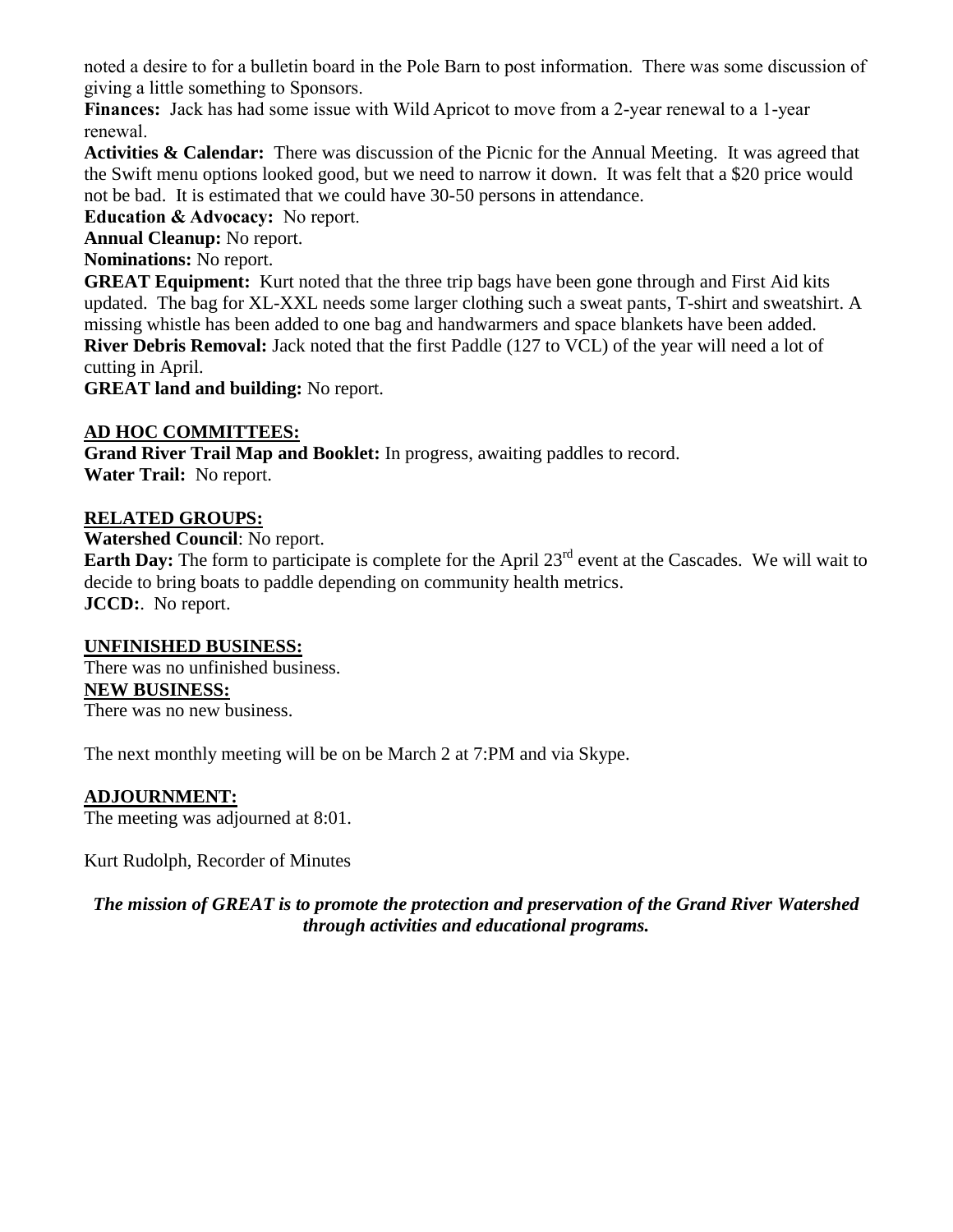noted a desire to for a bulletin board in the Pole Barn to post information. There was some discussion of giving a little something to Sponsors.

**Finances:** Jack has had some issue with Wild Apricot to move from a 2-year renewal to a 1-year renewal.

**Activities & Calendar:** There was discussion of the Picnic for the Annual Meeting. It was agreed that the Swift menu options looked good, but we need to narrow it down. It was felt that a \$20 price would not be bad. It is estimated that we could have 30-50 persons in attendance.

**Education & Advocacy:** No report.

**Annual Cleanup:** No report.

**Nominations:** No report.

**GREAT Equipment:** Kurt noted that the three trip bags have been gone through and First Aid kits updated. The bag for XL-XXL needs some larger clothing such a sweat pants, T-shirt and sweatshirt. A missing whistle has been added to one bag and handwarmers and space blankets have been added. **River Debris Removal:** Jack noted that the first Paddle (127 to VCL) of the year will need a lot of

cutting in April.

**GREAT land and building:** No report.

### **AD HOC COMMITTEES:**

**Grand River Trail Map and Booklet:** In progress, awaiting paddles to record. **Water Trail:** No report.

### **RELATED GROUPS:**

**Watershed Council**: No report.

**Earth Day:** The form to participate is complete for the April 23<sup>rd</sup> event at the Cascades. We will wait to decide to bring boats to paddle depending on community health metrics. **JCCD:**. No report.

#### **UNFINISHED BUSINESS:**

There was no unfinished business. **NEW BUSINESS:** There was no new business.

The next monthly meeting will be on be March 2 at 7:PM and via Skype.

### **ADJOURNMENT:**

The meeting was adjourned at 8:01.

Kurt Rudolph, Recorder of Minutes

*The mission of GREAT is to promote the protection and preservation of the Grand River Watershed through activities and educational programs.*